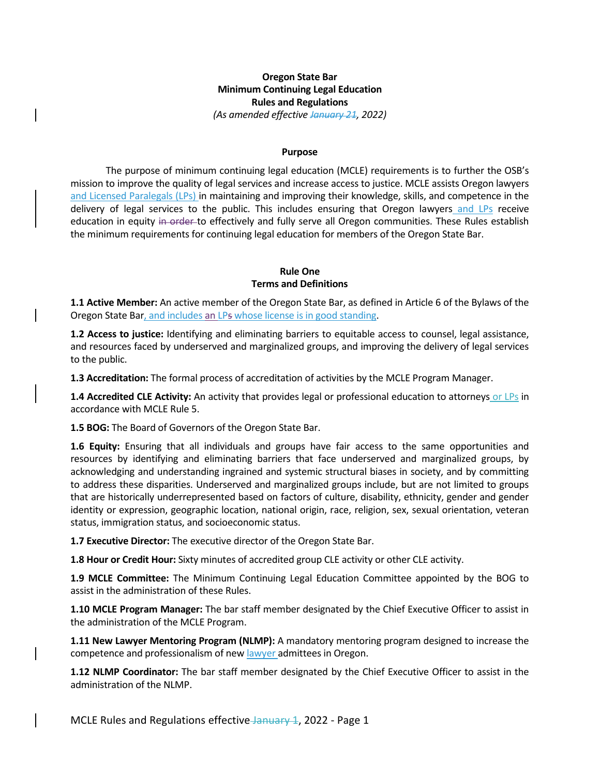## **Oregon State Bar Minimum Continuing Legal Education Rules and Regulations** *(As amended effective January 21, 2022)*

#### **Purpose**

The purpose of minimum continuing legal education (MCLE) requirements is to further the OSB's mission to improve the quality of legal services and increase access to justice. MCLE assists Oregon lawyers and Licensed Paralegals (LPs) in maintaining and improving their knowledge, skills, and competence in the delivery of legal services to the public. This includes ensuring that Oregon lawyers and LPs receive education in equity in order to effectively and fully serve all Oregon communities. These Rules establish the minimum requirements for continuing legal education for members of the Oregon State Bar.

#### **Rule One Terms and Definitions**

**1.1 Active Member:** An active member of the Oregon State Bar, as defined in Article 6 of the Bylaws of the Oregon State Bar, and includes an LPs whose license is in good standing.

**1.2 Access to justice:** Identifying and eliminating barriers to equitable access to counsel, legal assistance, and resources faced by underserved and marginalized groups, and improving the delivery of legal services to the public.

**1.3 Accreditation:** The formal process of accreditation of activities by the MCLE Program Manager.

**1.4 Accredited CLE Activity:** An activity that provides legal or professional education to attorneys or LPs in accordance with MCLE Rule 5.

**1.5 BOG:** The Board of Governors of the Oregon State Bar.

**1.6 Equity:** Ensuring that all individuals and groups have fair access to the same opportunities and resources by identifying and eliminating barriers that face underserved and marginalized groups, by acknowledging and understanding ingrained and systemic structural biases in society, and by committing to address these disparities. Underserved and marginalized groups include, but are not limited to groups that are historically underrepresented based on factors of culture, disability, ethnicity, gender and gender identity or expression, geographic location, national origin, race, religion, sex, sexual orientation, veteran status, immigration status, and socioeconomic status.

**1.7 Executive Director:** The executive director of the Oregon State Bar.

**1.8 Hour or Credit Hour:** Sixty minutes of accredited group CLE activity or other CLE activity.

**1.9 MCLE Committee:** The Minimum Continuing Legal Education Committee appointed by the BOG to assist in the administration of these Rules.

**1.10 MCLE Program Manager:** The bar staff member designated by the Chief Executive Officer to assist in the administration of the MCLE Program.

**1.11 New Lawyer Mentoring Program (NLMP):** A mandatory mentoring program designed to increase the competence and professionalism of new lawyer admittees in Oregon.

**1.12 NLMP Coordinator:** The bar staff member designated by the Chief Executive Officer to assist in the administration of the NLMP.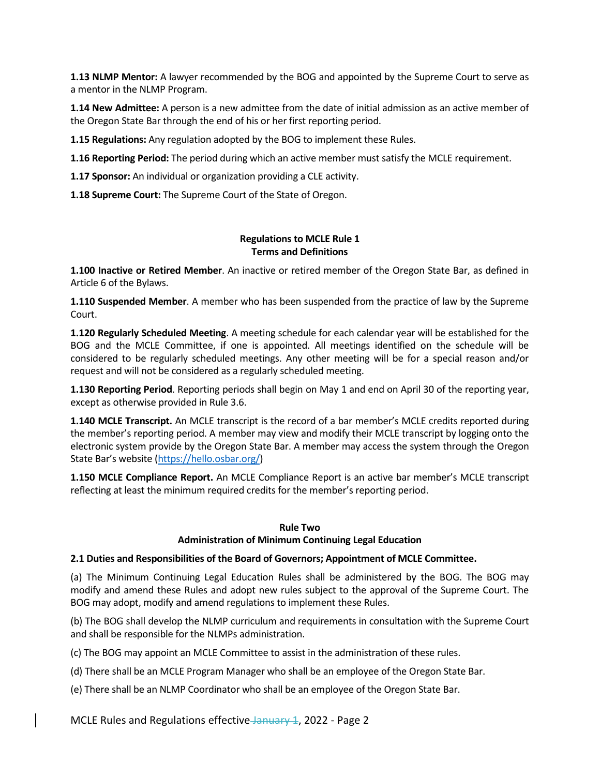**1.13 NLMP Mentor:** A lawyer recommended by the BOG and appointed by the Supreme Court to serve as a mentor in the NLMP Program.

**1.14 New Admittee:** A person is a new admittee from the date of initial admission as an active member of the Oregon State Bar through the end of his or her first reporting period.

**1.15 Regulations:** Any regulation adopted by the BOG to implement these Rules.

**1.16 Reporting Period:** The period during which an active member must satisfy the MCLE requirement.

**1.17 Sponsor:** An individual or organization providing a CLE activity.

**1.18 Supreme Court:** The Supreme Court of the State of Oregon.

#### **Regulations to MCLE Rule 1 Terms and Definitions**

**1.100 Inactive or Retired Member**. An inactive or retired member of the Oregon State Bar, as defined in Article 6 of the Bylaws.

**1.110 Suspended Member**. A member who has been suspended from the practice of law by the Supreme Court.

**1.120 Regularly Scheduled Meeting**. A meeting schedule for each calendar year will be established for the BOG and the MCLE Committee, if one is appointed. All meetings identified on the schedule will be considered to be regularly scheduled meetings. Any other meeting will be for a special reason and/or request and will not be considered as a regularly scheduled meeting.

**1.130 Reporting Period**. Reporting periods shall begin on May 1 and end on April 30 of the reporting year, except as otherwise provided in Rule 3.6.

**1.140 MCLE Transcript.** An MCLE transcript is the record of a bar member's MCLE credits reported during the member's reporting period. A member may view and modify their MCLE transcript by logging onto the electronic system provide by the Oregon State Bar. A member may access the system through the Oregon State Bar's website ([https://hello.osbar.org/\)](https://hello.osbar.org/)

**1.150 MCLE Compliance Report.** An MCLE Compliance Report is an active bar member's MCLE transcript reflecting at least the minimum required credits for the member's reporting period.

#### **Rule Two**

#### **Administration of Minimum Continuing Legal Education**

## **2.1 Duties and Responsibilities of the Board of Governors; Appointment of MCLE Committee.**

(a) The Minimum Continuing Legal Education Rules shall be administered by the BOG. The BOG may modify and amend these Rules and adopt new rules subject to the approval of the Supreme Court. The BOG may adopt, modify and amend regulations to implement these Rules.

(b) The BOG shall develop the NLMP curriculum and requirements in consultation with the Supreme Court and shall be responsible for the NLMPs administration.

(c) The BOG may appoint an MCLE Committee to assist in the administration of these rules.

(d) There shall be an MCLE Program Manager who shall be an employee of the Oregon State Bar.

(e) There shall be an NLMP Coordinator who shall be an employee of the Oregon State Bar.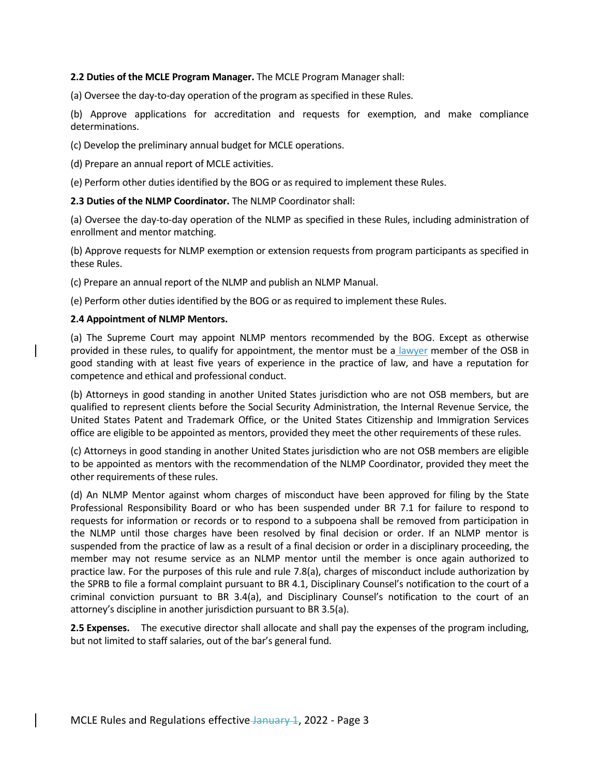#### **2.2 Duties of the MCLE Program Manager.** The MCLE Program Manager shall:

(a) Oversee the day-to-day operation of the program as specified in these Rules.

(b) Approve applications for accreditation and requests for exemption, and make compliance determinations.

(c) Develop the preliminary annual budget for MCLE operations.

(d) Prepare an annual report of MCLE activities.

(e) Perform other duties identified by the BOG or as required to implement these Rules.

**2.3 Duties of the NLMP Coordinator.** The NLMP Coordinator shall:

(a) Oversee the day-to-day operation of the NLMP as specified in these Rules, including administration of enrollment and mentor matching.

(b) Approve requests for NLMP exemption or extension requests from program participants as specified in these Rules.

(c) Prepare an annual report of the NLMP and publish an NLMP Manual.

(e) Perform other duties identified by the BOG or as required to implement these Rules.

#### **2.4 Appointment of NLMP Mentors.**

(a) The Supreme Court may appoint NLMP mentors recommended by the BOG. Except as otherwise provided in these rules, to qualify for appointment, the mentor must be a lawyer member of the OSB in good standing with at least five years of experience in the practice of law, and have a reputation for competence and ethical and professional conduct.

(b) Attorneys in good standing in another United States jurisdiction who are not OSB members, but are qualified to represent clients before the Social Security Administration, the Internal Revenue Service, the United States Patent and Trademark Office, or the United States Citizenship and Immigration Services office are eligible to be appointed as mentors, provided they meet the other requirements of these rules.

(c) Attorneys in good standing in another United States jurisdiction who are not OSB members are eligible to be appointed as mentors with the recommendation of the NLMP Coordinator, provided they meet the other requirements of these rules.

(d) An NLMP Mentor against whom charges of misconduct have been approved for filing by the State Professional Responsibility Board or who has been suspended under BR 7.1 for failure to respond to requests for information or records or to respond to a subpoena shall be removed from participation in the NLMP until those charges have been resolved by final decision or order. If an NLMP mentor is suspended from the practice of law as a result of a final decision or order in a disciplinary proceeding, the member may not resume service as an NLMP mentor until the member is once again authorized to practice law. For the purposes of this rule and rule 7.8(a), charges of misconduct include authorization by the SPRB to file a formal complaint pursuant to BR 4.1, Disciplinary Counsel's notification to the court of a criminal conviction pursuant to BR 3.4(a), and Disciplinary Counsel's notification to the court of an attorney's discipline in another jurisdiction pursuant to BR 3.5(a).

**2.5 Expenses.** The executive director shall allocate and shall pay the expenses of the program including, but not limited to staff salaries, out of the bar's general fund.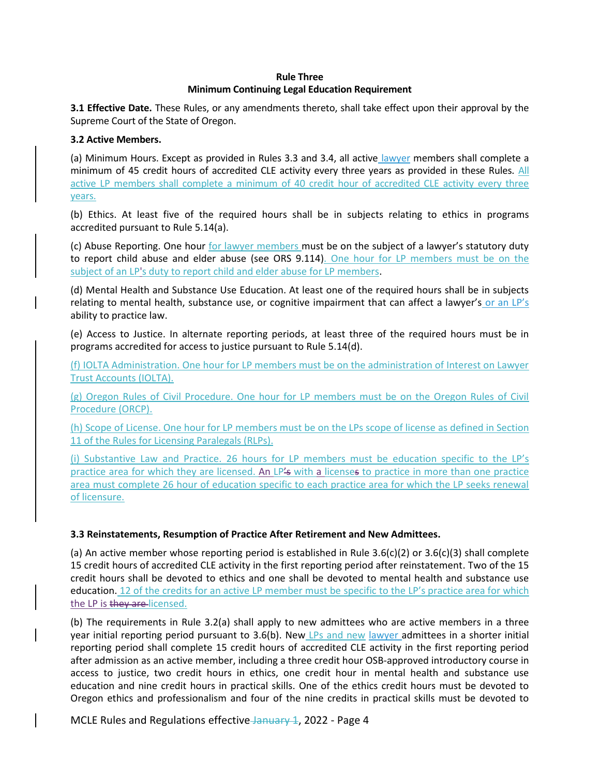## **Rule Three Minimum Continuing Legal Education Requirement**

**3.1 Effective Date.** These Rules, or any amendments thereto, shall take effect upon their approval by the Supreme Court of the State of Oregon.

### **3.2 Active Members.**

(a) Minimum Hours. Except as provided in Rules 3.3 and 3.4, all active lawyer members shall complete a minimum of 45 credit hours of accredited CLE activity every three years as provided in these Rules. All active LP members shall complete a minimum of 40 credit hour of accredited CLE activity every three years.

(b) Ethics. At least five of the required hours shall be in subjects relating to ethics in programs accredited pursuant to Rule 5.14(a).

(c) Abuse Reporting. One hour for lawyer members must be on the subject of a lawyer's statutory duty to report child abuse and elder abuse (see ORS 9.114). One hour for LP members must be on the subject of an LP's duty to report child and elder abuse for LP members.

(d) Mental Health and Substance Use Education. At least one of the required hours shall be in subjects relating to mental health, substance use, or cognitive impairment that can affect a lawyer's or an LP's ability to practice law.

(e) Access to Justice. In alternate reporting periods, at least three of the required hours must be in programs accredited for access to justice pursuant to Rule 5.14(d).

(f) IOLTA Administration. One hour for LP members must be on the administration of Interest on Lawyer Trust Accounts (IOLTA).

(g) Oregon Rules of Civil Procedure. One hour for LP members must be on the Oregon Rules of Civil Procedure (ORCP).

(h) Scope of License. One hour for LP members must be on the LPs scope of license as defined in Section 11 of the Rules for Licensing Paralegals (RLPs).

(i) Substantive Law and Practice. 26 hours for LP members must be education specific to the LP's practice area for which they are licensed. An LP's with a licenses to practice in more than one practice area must complete 26 hour of education specific to each practice area for which the LP seeks renewal of licensure.

## **3.3 Reinstatements, Resumption of Practice After Retirement and New Admittees.**

(a) An active member whose reporting period is established in Rule  $3.6(c)(2)$  or  $3.6(c)(3)$  shall complete 15 credit hours of accredited CLE activity in the first reporting period after reinstatement. Two of the 15 credit hours shall be devoted to ethics and one shall be devoted to mental health and substance use education. 12 of the credits for an active LP member must be specific to the LP's practice area for which the LP is they are licensed.

(b) The requirements in Rule 3.2(a) shall apply to new admittees who are active members in a three year initial reporting period pursuant to 3.6(b). New LPs and new lawyer admittees in a shorter initial reporting period shall complete 15 credit hours of accredited CLE activity in the first reporting period after admission as an active member, including a three credit hour OSB-approved introductory course in access to justice, two credit hours in ethics, one credit hour in mental health and substance use education and nine credit hours in practical skills. One of the ethics credit hours must be devoted to Oregon ethics and professionalism and four of the nine credits in practical skills must be devoted to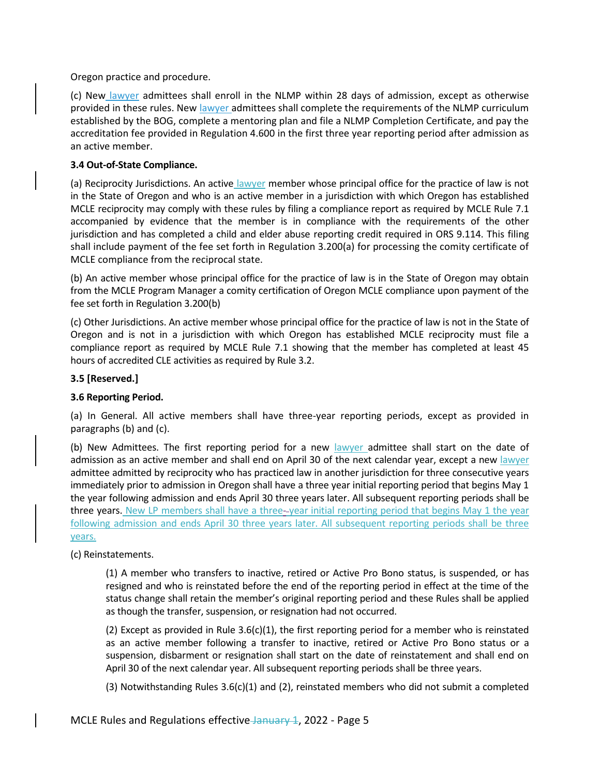Oregon practice and procedure.

(c) New lawyer admittees shall enroll in the NLMP within 28 days of admission, except as otherwise provided in these rules. New lawyer admittees shall complete the requirements of the NLMP curriculum established by the BOG, complete a mentoring plan and file a NLMP Completion Certificate, and pay the accreditation fee provided in Regulation 4.600 in the first three year reporting period after admission as an active member.

# **3.4 Out-of-State Compliance.**

(a) Reciprocity Jurisdictions. An active lawyer member whose principal office for the practice of law is not in the State of Oregon and who is an active member in a jurisdiction with which Oregon has established MCLE reciprocity may comply with these rules by filing a compliance report as required by MCLE Rule 7.1 accompanied by evidence that the member is in compliance with the requirements of the other jurisdiction and has completed a child and elder abuse reporting credit required in ORS 9.114. This filing shall include payment of the fee set forth in Regulation 3.200(a) for processing the comity certificate of MCLE compliance from the reciprocal state.

(b) An active member whose principal office for the practice of law is in the State of Oregon may obtain from the MCLE Program Manager a comity certification of Oregon MCLE compliance upon payment of the fee set forth in Regulation 3.200(b)

(c) Other Jurisdictions. An active member whose principal office for the practice of law is not in the State of Oregon and is not in a jurisdiction with which Oregon has established MCLE reciprocity must file a compliance report as required by MCLE Rule 7.1 showing that the member has completed at least 45 hours of accredited CLE activities as required by Rule 3.2.

# **3.5 [Reserved.]**

## **3.6 Reporting Period.**

(a) In General. All active members shall have three-year reporting periods, except as provided in paragraphs (b) and (c).

(b) New Admittees. The first reporting period for a new lawyer admittee shall start on the date of admission as an active member and shall end on April 30 of the next calendar year, except a new lawyer admittee admitted by reciprocity who has practiced law in another jurisdiction for three consecutive years immediately prior to admission in Oregon shall have a three year initial reporting period that begins May 1 the year following admission and ends April 30 three years later. All subsequent reporting periods shall be three years. New LP members shall have a three--year initial reporting period that begins May 1 the year following admission and ends April 30 three years later. All subsequent reporting periods shall be three years.

(c) Reinstatements.

(1) A member who transfers to inactive, retired or Active Pro Bono status, is suspended, or has resigned and who is reinstated before the end of the reporting period in effect at the time of the status change shall retain the member's original reporting period and these Rules shall be applied as though the transfer, suspension, or resignation had not occurred.

(2) Except as provided in Rule  $3.6(c)(1)$ , the first reporting period for a member who is reinstated as an active member following a transfer to inactive, retired or Active Pro Bono status or a suspension, disbarment or resignation shall start on the date of reinstatement and shall end on April 30 of the next calendar year. All subsequent reporting periods shall be three years.

(3) Notwithstanding Rules  $3.6(c)(1)$  and (2), reinstated members who did not submit a completed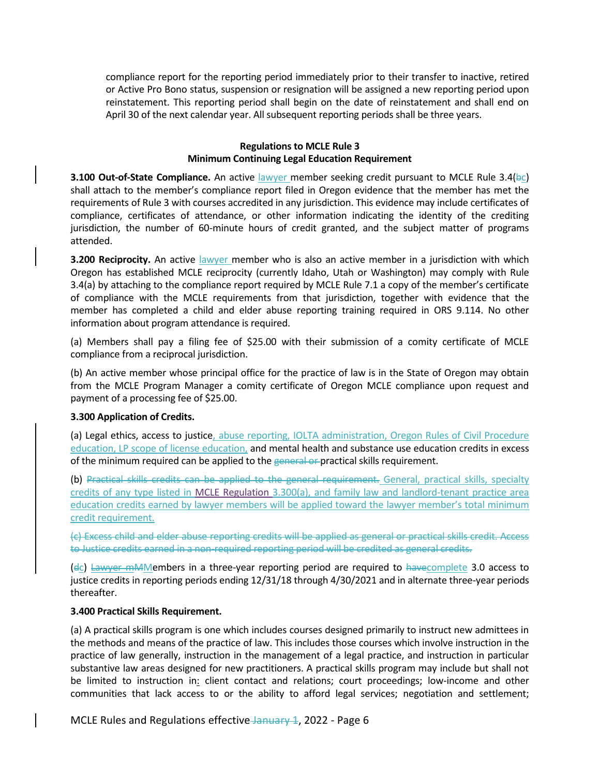compliance report for the reporting period immediately prior to their transfer to inactive, retired or Active Pro Bono status, suspension or resignation will be assigned a new reporting period upon reinstatement. This reporting period shall begin on the date of reinstatement and shall end on April 30 of the next calendar year. All subsequent reporting periods shall be three years.

#### **Regulations to MCLE Rule 3 Minimum Continuing Legal Education Requirement**

**3.100 Out-of-State Compliance.** An active lawyer member seeking credit pursuant to MCLE Rule 3.4(bc) shall attach to the member's compliance report filed in Oregon evidence that the member has met the requirements of Rule 3 with courses accredited in any jurisdiction. This evidence may include certificates of compliance, certificates of attendance, or other information indicating the identity of the crediting jurisdiction, the number of 60-minute hours of credit granted, and the subject matter of programs attended.

**3.200 Reciprocity.** An active lawyer member who is also an active member in a jurisdiction with which Oregon has established MCLE reciprocity (currently Idaho, Utah or Washington) may comply with Rule 3.4(a) by attaching to the compliance report required by MCLE Rule 7.1 a copy of the member's certificate of compliance with the MCLE requirements from that jurisdiction, together with evidence that the member has completed a child and elder abuse reporting training required in ORS 9.114. No other information about program attendance is required.

(a) Members shall pay a filing fee of \$25.00 with their submission of a comity certificate of MCLE compliance from a reciprocal jurisdiction.

(b) An active member whose principal office for the practice of law is in the State of Oregon may obtain from the MCLE Program Manager a comity certificate of Oregon MCLE compliance upon request and payment of a processing fee of \$25.00.

## **3.300 Application of Credits.**

(a) Legal ethics, access to justice, abuse reporting, IOLTA administration, Oregon Rules of Civil Procedure education, LP scope of license education, and mental health and substance use education credits in excess of the minimum required can be applied to the general or practical skills requirement.

(b) Practical skills credits can be applied to the general requirement. General, practical skills, specialty credits of any type listed in MCLE Regulation 3.300(a), and family law and landlord-tenant practice area education credits earned by lawyer members will be applied toward the lawyer member's total minimum credit requirement.

(c) Excess child and elder abuse reporting credits will be applied as general or practical skills credit. Access to Justice credits earned in a non-required reporting period will be credited as general credits.

(dc) Lawyer mMMembers in a three-year reporting period are required to havecomplete 3.0 access to justice credits in reporting periods ending 12/31/18 through 4/30/2021 and in alternate three-year periods thereafter.

#### **3.400 Practical Skills Requirement.**

(a) A practical skills program is one which includes courses designed primarily to instruct new admittees in the methods and means of the practice of law. This includes those courses which involve instruction in the practice of law generally, instruction in the management of a legal practice, and instruction in particular substantive law areas designed for new practitioners. A practical skills program may include but shall not be limited to instruction in: client contact and relations; court proceedings; low-income and other communities that lack access to or the ability to afford legal services; negotiation and settlement;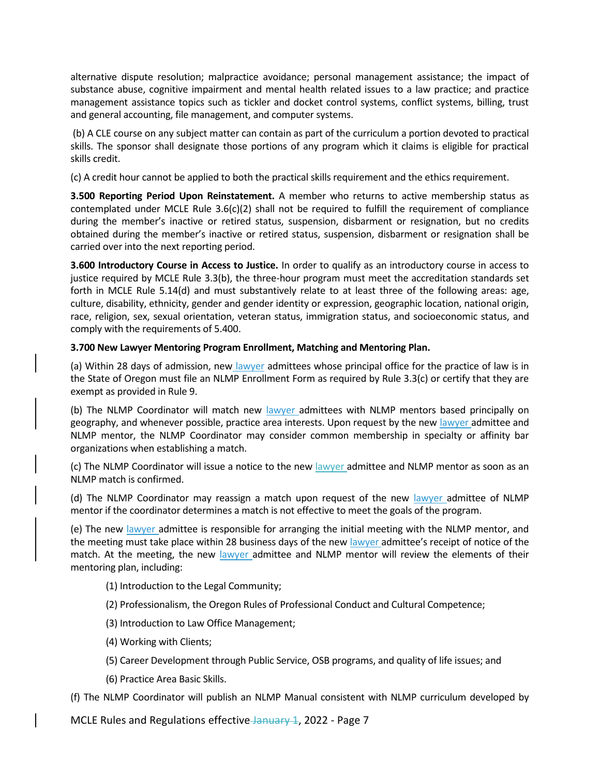alternative dispute resolution; malpractice avoidance; personal management assistance; the impact of substance abuse, cognitive impairment and mental health related issues to a law practice; and practice management assistance topics such as tickler and docket control systems, conflict systems, billing, trust and general accounting, file management, and computer systems.

(b) A CLE course on any subject matter can contain as part of the curriculum a portion devoted to practical skills. The sponsor shall designate those portions of any program which it claims is eligible for practical skills credit.

(c) A credit hour cannot be applied to both the practical skills requirement and the ethics requirement.

**3.500 Reporting Period Upon Reinstatement.** A member who returns to active membership status as contemplated under MCLE Rule 3.6(c)(2) shall not be required to fulfill the requirement of compliance during the member's inactive or retired status, suspension, disbarment or resignation, but no credits obtained during the member's inactive or retired status, suspension, disbarment or resignation shall be carried over into the next reporting period.

**3.600 Introductory Course in Access to Justice.** In order to qualify as an introductory course in access to justice required by MCLE Rule 3.3(b), the three-hour program must meet the accreditation standards set forth in MCLE Rule 5.14(d) and must substantively relate to at least three of the following areas: age, culture, disability, ethnicity, gender and gender identity or expression, geographic location, national origin, race, religion, sex, sexual orientation, veteran status, immigration status, and socioeconomic status, and comply with the requirements of 5.400.

## **3.700 New Lawyer Mentoring Program Enrollment, Matching and Mentoring Plan.**

(a) Within 28 days of admission, new lawyer admittees whose principal office for the practice of law is in the State of Oregon must file an NLMP Enrollment Form as required by Rule 3.3(c) or certify that they are exempt as provided in Rule 9.

(b) The NLMP Coordinator will match new lawyer admittees with NLMP mentors based principally on geography, and whenever possible, practice area interests. Upon request by the new lawyer admittee and NLMP mentor, the NLMP Coordinator may consider common membership in specialty or affinity bar organizations when establishing a match.

(c) The NLMP Coordinator will issue a notice to the new lawyer admittee and NLMP mentor as soon as an NLMP match is confirmed.

(d) The NLMP Coordinator may reassign a match upon request of the new lawyer admittee of NLMP mentor if the coordinator determines a match is not effective to meet the goals of the program.

(e) The new lawyer admittee is responsible for arranging the initial meeting with the NLMP mentor, and the meeting must take place within 28 business days of the new lawyer admittee's receipt of notice of the match. At the meeting, the new lawyer admittee and NLMP mentor will review the elements of their mentoring plan, including:

(1) Introduction to the Legal Community;

- (2) Professionalism, the Oregon Rules of Professional Conduct and Cultural Competence;
- (3) Introduction to Law Office Management;
- (4) Working with Clients;
- (5) Career Development through Public Service, OSB programs, and quality of life issues; and
- (6) Practice Area Basic Skills.

(f) The NLMP Coordinator will publish an NLMP Manual consistent with NLMP curriculum developed by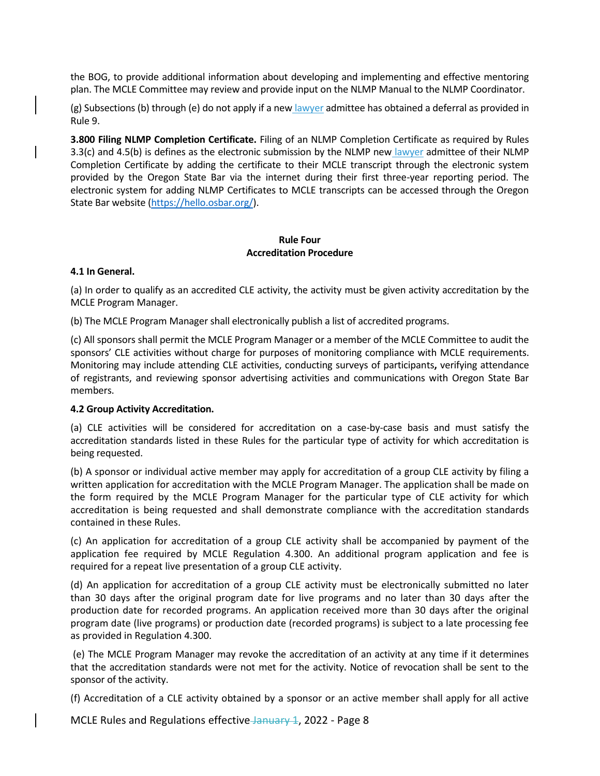the BOG, to provide additional information about developing and implementing and effective mentoring plan. The MCLE Committee may review and provide input on the NLMP Manual to the NLMP Coordinator.

(g) Subsections (b) through (e) do not apply if a new lawyer admittee has obtained a deferral as provided in Rule 9.

**3.800 Filing NLMP Completion Certificate.** Filing of an NLMP Completion Certificate as required by Rules 3.3(c) and 4.5(b) is defines as the electronic submission by the NLMP new lawyer admittee of their NLMP Completion Certificate by adding the certificate to their MCLE transcript through the electronic system provided by the Oregon State Bar via the internet during their first three-year reporting period. The electronic system for adding NLMP Certificates to MCLE transcripts can be accessed through the Oregon State Bar website [\(https://hello.osbar.org/\)](https://hello.osbar.org/).

# **Rule Four Accreditation Procedure**

#### **4.1 In General.**

(a) In order to qualify as an accredited CLE activity, the activity must be given activity accreditation by the MCLE Program Manager.

(b) The MCLE Program Manager shall electronically publish a list of accredited programs.

(c) All sponsors shall permit the MCLE Program Manager or a member of the MCLE Committee to audit the sponsors' CLE activities without charge for purposes of monitoring compliance with MCLE requirements. Monitoring may include attending CLE activities, conducting surveys of participants**,** verifying attendance of registrants, and reviewing sponsor advertising activities and communications with Oregon State Bar members.

## **4.2 Group Activity Accreditation.**

(a) CLE activities will be considered for accreditation on a case-by-case basis and must satisfy the accreditation standards listed in these Rules for the particular type of activity for which accreditation is being requested.

(b) A sponsor or individual active member may apply for accreditation of a group CLE activity by filing a written application for accreditation with the MCLE Program Manager. The application shall be made on the form required by the MCLE Program Manager for the particular type of CLE activity for which accreditation is being requested and shall demonstrate compliance with the accreditation standards contained in these Rules.

(c) An application for accreditation of a group CLE activity shall be accompanied by payment of the application fee required by MCLE Regulation 4.300. An additional program application and fee is required for a repeat live presentation of a group CLE activity.

(d) An application for accreditation of a group CLE activity must be electronically submitted no later than 30 days after the original program date for live programs and no later than 30 days after the production date for recorded programs. An application received more than 30 days after the original program date (live programs) or production date (recorded programs) is subject to a late processing fee as provided in Regulation 4.300.

(e) The MCLE Program Manager may revoke the accreditation of an activity at any time if it determines that the accreditation standards were not met for the activity. Notice of revocation shall be sent to the sponsor of the activity.

(f) Accreditation of a CLE activity obtained by a sponsor or an active member shall apply for all active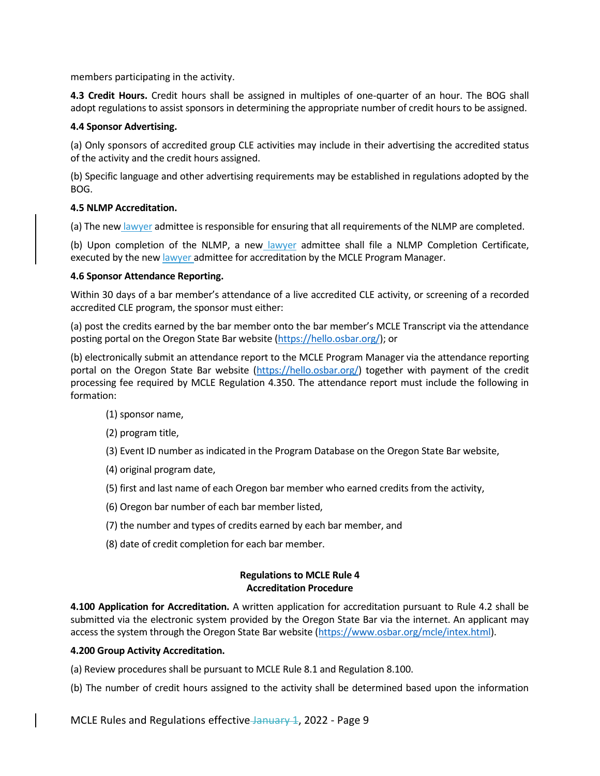members participating in the activity.

**4.3 Credit Hours.** Credit hours shall be assigned in multiples of one-quarter of an hour. The BOG shall adopt regulations to assist sponsors in determining the appropriate number of credit hours to be assigned.

#### **4.4 Sponsor Advertising.**

(a) Only sponsors of accredited group CLE activities may include in their advertising the accredited status of the activity and the credit hours assigned.

(b) Specific language and other advertising requirements may be established in regulations adopted by the BOG.

#### **4.5 NLMP Accreditation.**

(a) The new lawyer admittee is responsible for ensuring that all requirements of the NLMP are completed.

(b) Upon completion of the NLMP, a new lawyer admittee shall file a NLMP Completion Certificate, executed by the new lawyer admittee for accreditation by the MCLE Program Manager.

#### **4.6 Sponsor Attendance Reporting.**

Within 30 days of a bar member's attendance of a live accredited CLE activity, or screening of a recorded accredited CLE program, the sponsor must either:

(a) post the credits earned by the bar member onto the bar member's MCLE Transcript via the attendance posting portal on the Oregon State Bar website [\(https://hello.osbar.org/\)](https://hello.osbar.org/); or

(b) electronically submit an attendance report to the MCLE Program Manager via the attendance reporting portal on the Oregon State Bar website [\(https://hello.osbar.org/\)](https://hello.osbar.org/) together with payment of the credit processing fee required by MCLE Regulation 4.350. The attendance report must include the following in formation:

- (1) sponsor name,
- (2) program title,
- (3) Event ID number as indicated in the Program Database on the Oregon State Bar website,
- (4) original program date,
- (5) first and last name of each Oregon bar member who earned credits from the activity,
- (6) Oregon bar number of each bar member listed,
- (7) the number and types of credits earned by each bar member, and
- (8) date of credit completion for each bar member.

#### **Regulations to MCLE Rule 4 Accreditation Procedure**

**4.100 Application for Accreditation.** A written application for accreditation pursuant to Rule 4.2 shall be submitted via the electronic system provided by the Oregon State Bar via the internet. An applicant may access the system through the Oregon State Bar website [\(https://www.osbar.org/mcle/intex.html\)](https://www.osbar.org/mcle/intex.html).

#### **4.200 Group Activity Accreditation.**

(a) Review procedures shall be pursuant to MCLE Rule 8.1 and Regulation 8.100.

(b) The number of credit hours assigned to the activity shall be determined based upon the information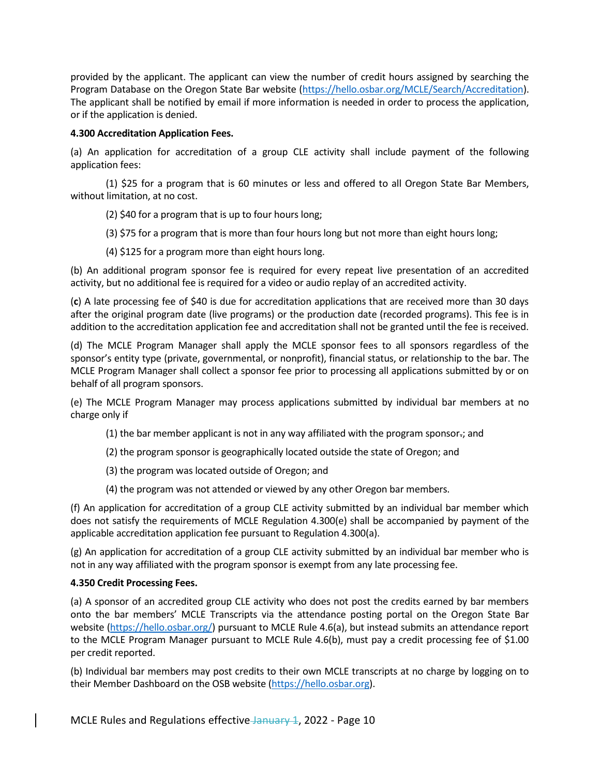provided by the applicant. The applicant can view the number of credit hours assigned by searching the Program Database on the Oregon State Bar website [\(https://hello.osbar.org/MCLE/Search/Accreditation\)](https://hello.osbar.org/MCLE/Search/Accreditation). The applicant shall be notified by email if more information is needed in order to process the application, or if the application is denied.

## **4.300 Accreditation Application Fees.**

(a) An application for accreditation of a group CLE activity shall include payment of the following application fees:

(1) \$25 for a program that is 60 minutes or less and offered to all Oregon State Bar Members, without limitation, at no cost.

(2) \$40 for a program that is up to four hours long;

(3) \$75 for a program that is more than four hours long but not more than eight hours long;

(4) \$125 for a program more than eight hours long.

(b) An additional program sponsor fee is required for every repeat live presentation of an accredited activity, but no additional fee is required for a video or audio replay of an accredited activity.

(**c**) A late processing fee of \$40 is due for accreditation applications that are received more than 30 days after the original program date (live programs) or the production date (recorded programs). This fee is in addition to the accreditation application fee and accreditation shall not be granted until the fee is received.

(d) The MCLE Program Manager shall apply the MCLE sponsor fees to all sponsors regardless of the sponsor's entity type (private, governmental, or nonprofit), financial status, or relationship to the bar. The MCLE Program Manager shall collect a sponsor fee prior to processing all applications submitted by or on behalf of all program sponsors.

(e) The MCLE Program Manager may process applications submitted by individual bar members at no charge only if

- $(1)$  the bar member applicant is not in any way affiliated with the program sponsor-; and
- (2) the program sponsor is geographically located outside the state of Oregon; and
- (3) the program was located outside of Oregon; and
- (4) the program was not attended or viewed by any other Oregon bar members.

(f) An application for accreditation of a group CLE activity submitted by an individual bar member which does not satisfy the requirements of MCLE Regulation 4.300(e) shall be accompanied by payment of the applicable accreditation application fee pursuant to Regulation 4.300(a).

(g) An application for accreditation of a group CLE activity submitted by an individual bar member who is not in any way affiliated with the program sponsor is exempt from any late processing fee.

# **4.350 Credit Processing Fees.**

(a) A sponsor of an accredited group CLE activity who does not post the credits earned by bar members onto the bar members' MCLE Transcripts via the attendance posting portal on the Oregon State Bar website [\(https://hello.osbar.org/\)](https://hello.osbar.org/) pursuant to MCLE Rule 4.6(a), but instead submits an attendance report to the MCLE Program Manager pursuant to MCLE Rule 4.6(b), must pay a credit processing fee of \$1.00 per credit reported.

(b) Individual bar members may post credits to their own MCLE transcripts at no charge by logging on to their Member Dashboard on the OSB website [\(https://hello.osbar.org\)](https://hello.osbar.org/).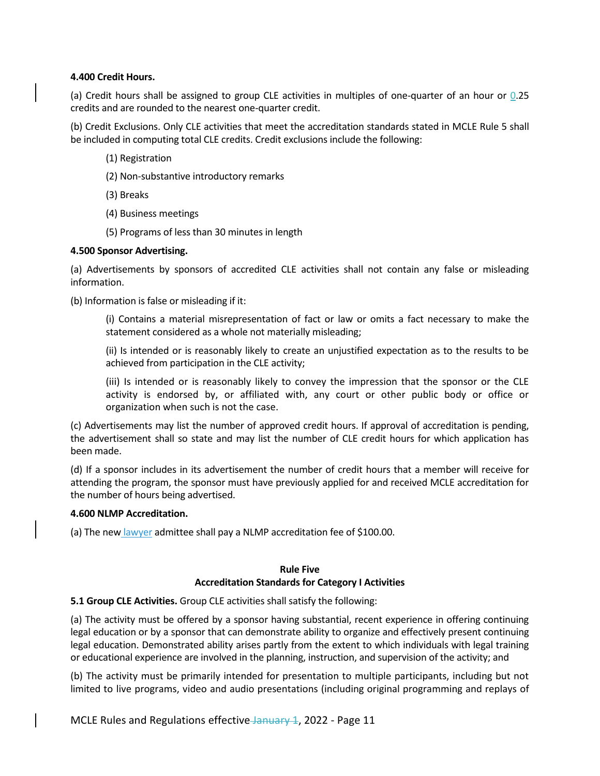#### **4.400 Credit Hours.**

(a) Credit hours shall be assigned to group CLE activities in multiples of one-quarter of an hour or 0.25 credits and are rounded to the nearest one-quarter credit.

(b) Credit Exclusions. Only CLE activities that meet the accreditation standards stated in MCLE Rule 5 shall be included in computing total CLE credits. Credit exclusions include the following:

- (1) Registration
- (2) Non-substantive introductory remarks
- (3) Breaks
- (4) Business meetings
- (5) Programs of less than 30 minutes in length

#### **4.500 Sponsor Advertising.**

(a) Advertisements by sponsors of accredited CLE activities shall not contain any false or misleading information.

(b) Information is false or misleading if it:

(i) Contains a material misrepresentation of fact or law or omits a fact necessary to make the statement considered as a whole not materially misleading;

(ii) Is intended or is reasonably likely to create an unjustified expectation as to the results to be achieved from participation in the CLE activity;

(iii) Is intended or is reasonably likely to convey the impression that the sponsor or the CLE activity is endorsed by, or affiliated with, any court or other public body or office or organization when such is not the case.

(c) Advertisements may list the number of approved credit hours. If approval of accreditation is pending, the advertisement shall so state and may list the number of CLE credit hours for which application has been made.

(d) If a sponsor includes in its advertisement the number of credit hours that a member will receive for attending the program, the sponsor must have previously applied for and received MCLE accreditation for the number of hours being advertised.

#### **4.600 NLMP Accreditation.**

(a) The new lawyer admittee shall pay a NLMP accreditation fee of \$100.00.

#### **Rule Five Accreditation Standards for Category I Activities**

**5.1 Group CLE Activities.** Group CLE activities shall satisfy the following:

(a) The activity must be offered by a sponsor having substantial, recent experience in offering continuing legal education or by a sponsor that can demonstrate ability to organize and effectively present continuing legal education. Demonstrated ability arises partly from the extent to which individuals with legal training or educational experience are involved in the planning, instruction, and supervision of the activity; and

(b) The activity must be primarily intended for presentation to multiple participants, including but not limited to live programs, video and audio presentations (including original programming and replays of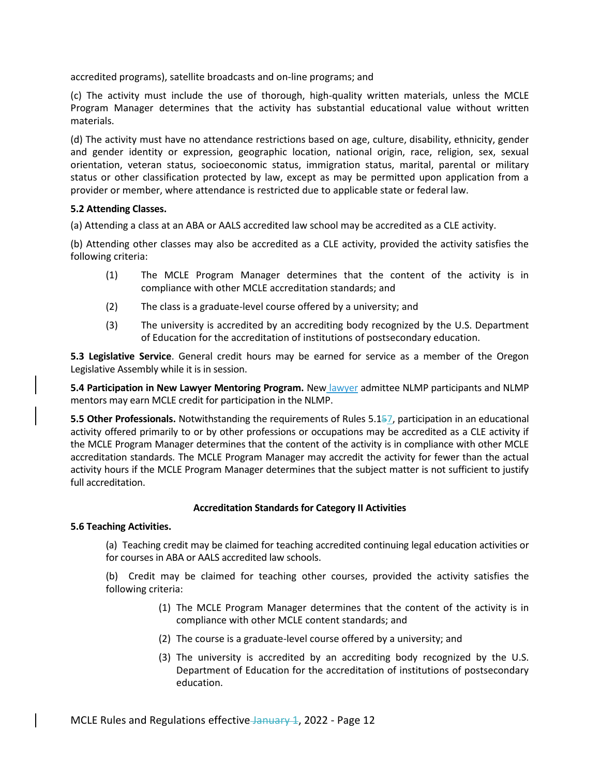accredited programs), satellite broadcasts and on-line programs; and

(c) The activity must include the use of thorough, high-quality written materials, unless the MCLE Program Manager determines that the activity has substantial educational value without written materials.

(d) The activity must have no attendance restrictions based on age, culture, disability, ethnicity, gender and gender identity or expression, geographic location, national origin, race, religion, sex, sexual orientation, veteran status, socioeconomic status, immigration status, marital, parental or military status or other classification protected by law, except as may be permitted upon application from a provider or member, where attendance is restricted due to applicable state or federal law.

#### **5.2 Attending Classes.**

(a) Attending a class at an ABA or AALS accredited law school may be accredited as a CLE activity.

(b) Attending other classes may also be accredited as a CLE activity, provided the activity satisfies the following criteria:

- (1) The MCLE Program Manager determines that the content of the activity is in compliance with other MCLE accreditation standards; and
- (2) The class is a graduate-level course offered by a university; and
- (3) The university is accredited by an accrediting body recognized by the U.S. Department of Education for the accreditation of institutions of postsecondary education.

**5.3 Legislative Service**. General credit hours may be earned for service as a member of the Oregon Legislative Assembly while it is in session.

**5.4 Participation in New Lawyer Mentoring Program.** New lawyer admittee NLMP participants and NLMP mentors may earn MCLE credit for participation in the NLMP.

**5.5 Other Professionals.** Notwithstanding the requirements of Rules 5.157, participation in an educational activity offered primarily to or by other professions or occupations may be accredited as a CLE activity if the MCLE Program Manager determines that the content of the activity is in compliance with other MCLE accreditation standards. The MCLE Program Manager may accredit the activity for fewer than the actual activity hours if the MCLE Program Manager determines that the subject matter is not sufficient to justify full accreditation.

## **Accreditation Standards for Category II Activities**

## **5.6 Teaching Activities.**

(a) Teaching credit may be claimed for teaching accredited continuing legal education activities or for courses in ABA or AALS accredited law schools.

(b) Credit may be claimed for teaching other courses, provided the activity satisfies the following criteria:

- (1) The MCLE Program Manager determines that the content of the activity is in compliance with other MCLE content standards; and
- (2) The course is a graduate-level course offered by a university; and
- (3) The university is accredited by an accrediting body recognized by the U.S. Department of Education for the accreditation of institutions of postsecondary education.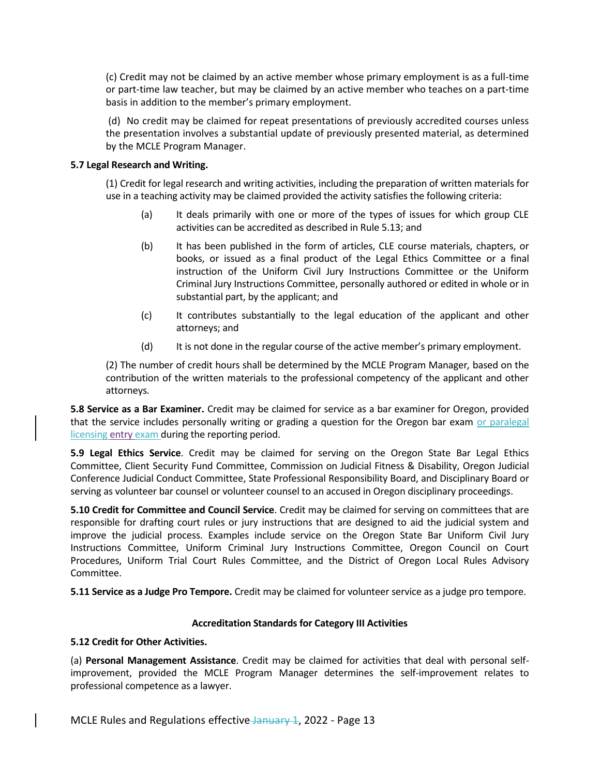(c) Credit may not be claimed by an active member whose primary employment is as a full-time or part-time law teacher, but may be claimed by an active member who teaches on a part-time basis in addition to the member's primary employment.

(d) No credit may be claimed for repeat presentations of previously accredited courses unless the presentation involves a substantial update of previously presented material, as determined by the MCLE Program Manager.

## **5.7 Legal Research and Writing.**

(1) Credit for legal research and writing activities, including the preparation of written materials for use in a teaching activity may be claimed provided the activity satisfies the following criteria:

- (a) It deals primarily with one or more of the types of issues for which group CLE activities can be accredited as described in Rule 5.13; and
- (b) It has been published in the form of articles, CLE course materials, chapters, or books, or issued as a final product of the Legal Ethics Committee or a final instruction of the Uniform Civil Jury Instructions Committee or the Uniform Criminal Jury Instructions Committee, personally authored or edited in whole or in substantial part, by the applicant; and
- (c) It contributes substantially to the legal education of the applicant and other attorneys; and
- (d) It is not done in the regular course of the active member's primary employment.

(2) The number of credit hours shall be determined by the MCLE Program Manager*,* based on the contribution of the written materials to the professional competency of the applicant and other attorneys*.*

**5.8 Service as a Bar Examiner.** Credit may be claimed for service as a bar examiner for Oregon, provided that the service includes personally writing or grading a question for the Oregon bar exam or paralegal licensing entry exam during the reporting period.

**5.9 Legal Ethics Service**. Credit may be claimed for serving on the Oregon State Bar Legal Ethics Committee, Client Security Fund Committee, Commission on Judicial Fitness & Disability, Oregon Judicial Conference Judicial Conduct Committee, State Professional Responsibility Board, and Disciplinary Board or serving as volunteer bar counsel or volunteer counsel to an accused in Oregon disciplinary proceedings.

**5.10 Credit for Committee and Council Service**. Credit may be claimed for serving on committees that are responsible for drafting court rules or jury instructions that are designed to aid the judicial system and improve the judicial process. Examples include service on the Oregon State Bar Uniform Civil Jury Instructions Committee, Uniform Criminal Jury Instructions Committee, Oregon Council on Court Procedures, Uniform Trial Court Rules Committee, and the District of Oregon Local Rules Advisory Committee.

**5.11 Service as a Judge Pro Tempore.** Credit may be claimed for volunteer service as a judge pro tempore.

## **Accreditation Standards for Category III Activities**

## **5.12 Credit for Other Activities.**

(a) **Personal Management Assistance**. Credit may be claimed for activities that deal with personal selfimprovement, provided the MCLE Program Manager determines the self-improvement relates to professional competence as a lawyer.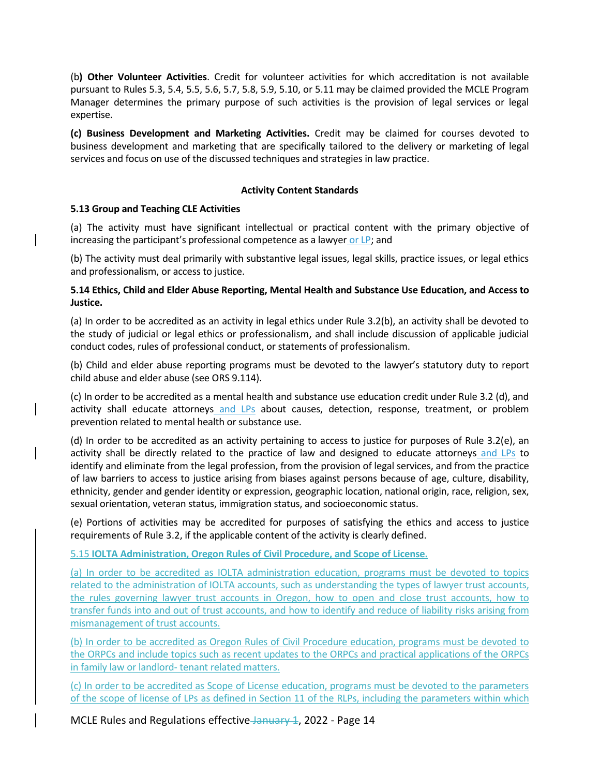(b**) Other Volunteer Activities**. Credit for volunteer activities for which accreditation is not available pursuant to Rules 5.3, 5.4, 5.5, 5.6, 5.7, 5.8, 5.9, 5.10, or 5.11 may be claimed provided the MCLE Program Manager determines the primary purpose of such activities is the provision of legal services or legal expertise.

**(c) Business Development and Marketing Activities.** Credit may be claimed for courses devoted to business development and marketing that are specifically tailored to the delivery or marketing of legal services and focus on use of the discussed techniques and strategies in law practice.

### **Activity Content Standards**

#### **5.13 Group and Teaching CLE Activities**

(a) The activity must have significant intellectual or practical content with the primary objective of increasing the participant's professional competence as a lawyer or LP; and

(b) The activity must deal primarily with substantive legal issues, legal skills, practice issues, or legal ethics and professionalism, or access to justice.

## **5.14 Ethics, Child and Elder Abuse Reporting, Mental Health and Substance Use Education, and Access to Justice.**

(a) In order to be accredited as an activity in legal ethics under Rule 3.2(b), an activity shall be devoted to the study of judicial or legal ethics or professionalism, and shall include discussion of applicable judicial conduct codes, rules of professional conduct, or statements of professionalism.

(b) Child and elder abuse reporting programs must be devoted to the lawyer's statutory duty to report child abuse and elder abuse (see ORS 9.114).

(c) In order to be accredited as a mental health and substance use education credit under Rule 3.2 (d), and activity shall educate attorneys and LPs about causes, detection, response, treatment, or problem prevention related to mental health or substance use.

(d) In order to be accredited as an activity pertaining to access to justice for purposes of Rule 3.2(e), an activity shall be directly related to the practice of law and designed to educate attorneys and LPs to identify and eliminate from the legal profession, from the provision of legal services, and from the practice of law barriers to access to justice arising from biases against persons because of age, culture, disability, ethnicity, gender and gender identity or expression, geographic location, national origin, race, religion, sex, sexual orientation, veteran status, immigration status, and socioeconomic status.

(e) Portions of activities may be accredited for purposes of satisfying the ethics and access to justice requirements of Rule 3.2, if the applicable content of the activity is clearly defined.

## 5.15 **IOLTA Administration, Oregon Rules of Civil Procedure, and Scope of License.**

(a) In order to be accredited as IOLTA administration education, programs must be devoted to topics related to the administration of IOLTA accounts, such as understanding the types of lawyer trust accounts, the rules governing lawyer trust accounts in Oregon, how to open and close trust accounts, how to transfer funds into and out of trust accounts, and how to identify and reduce of liability risks arising from mismanagement of trust accounts.

(b) In order to be accredited as Oregon Rules of Civil Procedure education, programs must be devoted to the ORPCs and include topics such as recent updates to the ORPCs and practical applications of the ORPCs in family law or landlord- tenant related matters.

(c) In order to be accredited as Scope of License education, programs must be devoted to the parameters of the scope of license of LPs as defined in Section 11 of the RLPs, including the parameters within which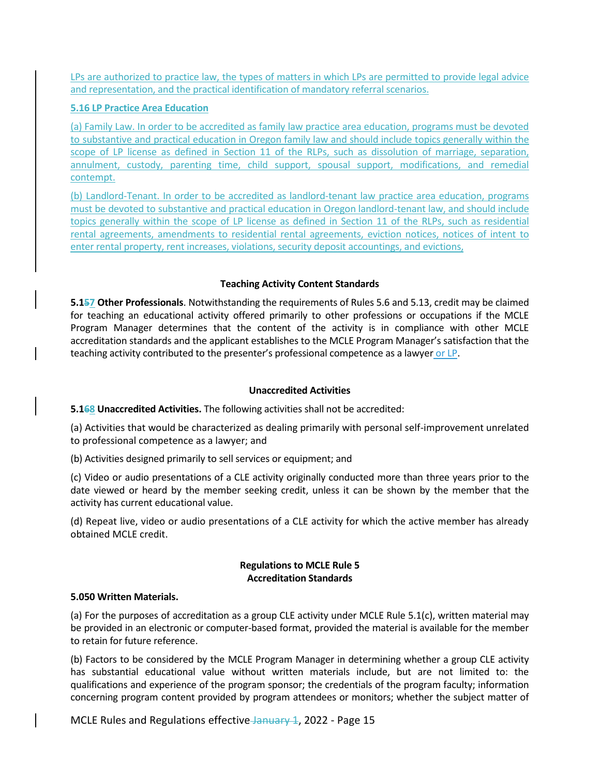LPs are authorized to practice law, the types of matters in which LPs are permitted to provide legal advice and representation, and the practical identification of mandatory referral scenarios.

### **5.16 LP Practice Area Education**

(a) Family Law. In order to be accredited as family law practice area education, programs must be devoted to substantive and practical education in Oregon family law and should include topics generally within the scope of LP license as defined in Section 11 of the RLPs, such as dissolution of marriage, separation, annulment, custody, parenting time, child support, spousal support, modifications, and remedial contempt.

(b) Landlord-Tenant. In order to be accredited as landlord-tenant law practice area education, programs must be devoted to substantive and practical education in Oregon landlord-tenant law, and should include topics generally within the scope of LP license as defined in Section 11 of the RLPs, such as residential rental agreements, amendments to residential rental agreements, eviction notices, notices of intent to enter rental property, rent increases, violations, security deposit accountings, and evictions,

## **Teaching Activity Content Standards**

**5.157 Other Professionals**. Notwithstanding the requirements of Rules 5.6 and 5.13, credit may be claimed for teaching an educational activity offered primarily to other professions or occupations if the MCLE Program Manager determines that the content of the activity is in compliance with other MCLE accreditation standards and the applicant establishes to the MCLE Program Manager's satisfaction that the teaching activity contributed to the presenter's professional competence as a lawyer or LP.

#### **Unaccredited Activities**

**5.168 Unaccredited Activities.** The following activities shall not be accredited:

(a) Activities that would be characterized as dealing primarily with personal self-improvement unrelated to professional competence as a lawyer; and

(b) Activities designed primarily to sell services or equipment; and

(c) Video or audio presentations of a CLE activity originally conducted more than three years prior to the date viewed or heard by the member seeking credit, unless it can be shown by the member that the activity has current educational value.

(d) Repeat live, video or audio presentations of a CLE activity for which the active member has already obtained MCLE credit.

# **Regulations to MCLE Rule 5 Accreditation Standards**

#### **5.050 Written Materials.**

(a) For the purposes of accreditation as a group CLE activity under MCLE Rule 5.1(c), written material may be provided in an electronic or computer-based format, provided the material is available for the member to retain for future reference.

(b) Factors to be considered by the MCLE Program Manager in determining whether a group CLE activity has substantial educational value without written materials include, but are not limited to: the qualifications and experience of the program sponsor; the credentials of the program faculty; information concerning program content provided by program attendees or monitors; whether the subject matter of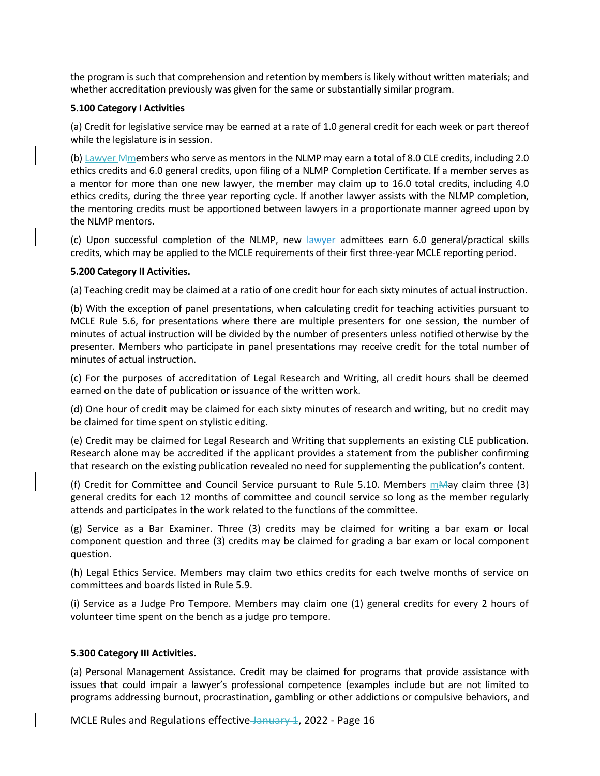the program is such that comprehension and retention by members is likely without written materials; and whether accreditation previously was given for the same or substantially similar program.

#### **5.100 Category I Activities**

(a) Credit for legislative service may be earned at a rate of 1.0 general credit for each week or part thereof while the legislature is in session.

(b) Lawyer Mmembers who serve as mentors in the NLMP may earn a total of 8.0 CLE credits, including 2.0 ethics credits and 6.0 general credits, upon filing of a NLMP Completion Certificate. If a member serves as a mentor for more than one new lawyer, the member may claim up to 16.0 total credits, including 4.0 ethics credits, during the three year reporting cycle. If another lawyer assists with the NLMP completion, the mentoring credits must be apportioned between lawyers in a proportionate manner agreed upon by the NLMP mentors.

(c) Upon successful completion of the NLMP, new lawyer admittees earn 6.0 general/practical skills credits, which may be applied to the MCLE requirements of their first three-year MCLE reporting period.

#### **5.200 Category II Activities.**

(a) Teaching credit may be claimed at a ratio of one credit hour for each sixty minutes of actual instruction.

(b) With the exception of panel presentations, when calculating credit for teaching activities pursuant to MCLE Rule 5.6, for presentations where there are multiple presenters for one session, the number of minutes of actual instruction will be divided by the number of presenters unless notified otherwise by the presenter. Members who participate in panel presentations may receive credit for the total number of minutes of actual instruction.

(c) For the purposes of accreditation of Legal Research and Writing, all credit hours shall be deemed earned on the date of publication or issuance of the written work.

(d) One hour of credit may be claimed for each sixty minutes of research and writing, but no credit may be claimed for time spent on stylistic editing.

(e) Credit may be claimed for Legal Research and Writing that supplements an existing CLE publication. Research alone may be accredited if the applicant provides a statement from the publisher confirming that research on the existing publication revealed no need for supplementing the publication's content*.*

(f) Credit for Committee and Council Service pursuant to Rule 5.10. Members  $m$ A ay claim three (3) general credits for each 12 months of committee and council service so long as the member regularly attends and participates in the work related to the functions of the committee.

(g) Service as a Bar Examiner. Three (3) credits may be claimed for writing a bar exam or local component question and three (3) credits may be claimed for grading a bar exam or local component question.

(h) Legal Ethics Service. Members may claim two ethics credits for each twelve months of service on committees and boards listed in Rule 5.9.

(i) Service as a Judge Pro Tempore. Members may claim one (1) general credits for every 2 hours of volunteer time spent on the bench as a judge pro tempore.

## **5.300 Category III Activities.**

(a) Personal Management Assistance**.** Credit may be claimed for programs that provide assistance with issues that could impair a lawyer's professional competence (examples include but are not limited to programs addressing burnout, procrastination, gambling or other addictions or compulsive behaviors, and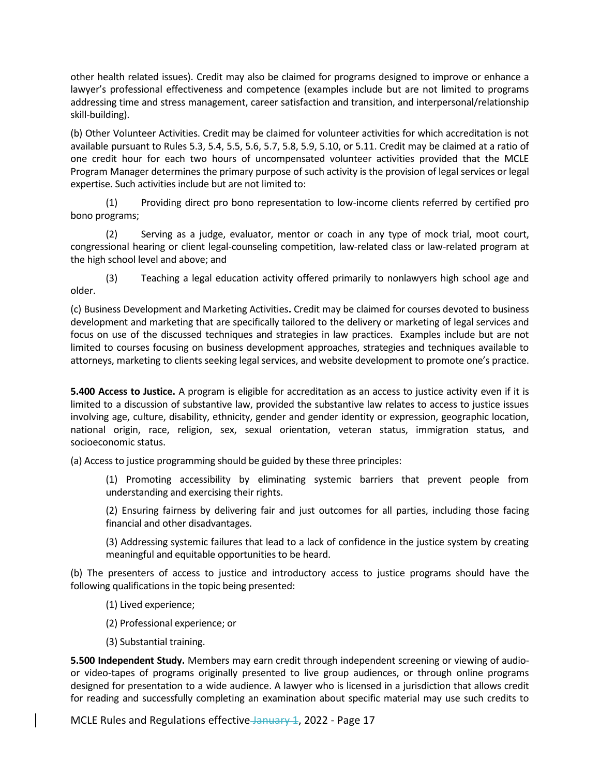other health related issues). Credit may also be claimed for programs designed to improve or enhance a lawyer's professional effectiveness and competence (examples include but are not limited to programs addressing time and stress management, career satisfaction and transition, and interpersonal/relationship skill-building).

(b) Other Volunteer Activities. Credit may be claimed for volunteer activities for which accreditation is not available pursuant to Rules 5.3, 5.4, 5.5, 5.6, 5.7, 5.8, 5.9, 5.10, or 5.11. Credit may be claimed at a ratio of one credit hour for each two hours of uncompensated volunteer activities provided that the MCLE Program Manager determines the primary purpose of such activity is the provision of legal services or legal expertise. Such activities include but are not limited to:

(1) Providing direct pro bono representation to low-income clients referred by certified pro bono programs;

(2) Serving as a judge, evaluator, mentor or coach in any type of mock trial, moot court, congressional hearing or client legal-counseling competition, law-related class or law-related program at the high school level and above; and

(3) Teaching a legal education activity offered primarily to nonlawyers high school age and older.

(c) Business Development and Marketing Activities**.** Credit may be claimed for courses devoted to business development and marketing that are specifically tailored to the delivery or marketing of legal services and focus on use of the discussed techniques and strategies in law practices. Examples include but are not limited to courses focusing on business development approaches, strategies and techniques available to attorneys, marketing to clients seeking legal services, and website development to promote one's practice.

**5.400 Access to Justice.** A program is eligible for accreditation as an access to justice activity even if it is limited to a discussion of substantive law, provided the substantive law relates to access to justice issues involving age, culture, disability, ethnicity, gender and gender identity or expression, geographic location, national origin, race, religion, sex, sexual orientation, veteran status, immigration status, and socioeconomic status.

(a) Access to justice programming should be guided by these three principles:

(1) Promoting accessibility by eliminating systemic barriers that prevent people from understanding and exercising their rights.

(2) Ensuring fairness by delivering fair and just outcomes for all parties, including those facing financial and other disadvantages.

(3) Addressing systemic failures that lead to a lack of confidence in the justice system by creating meaningful and equitable opportunities to be heard.

(b) The presenters of access to justice and introductory access to justice programs should have the following qualifications in the topic being presented:

- (1) Lived experience;
- (2) Professional experience; or
- (3) Substantial training.

**5.500 Independent Study.** Members may earn credit through independent screening or viewing of audioor video-tapes of programs originally presented to live group audiences, or through online programs designed for presentation to a wide audience. A lawyer who is licensed in a jurisdiction that allows credit for reading and successfully completing an examination about specific material may use such credits to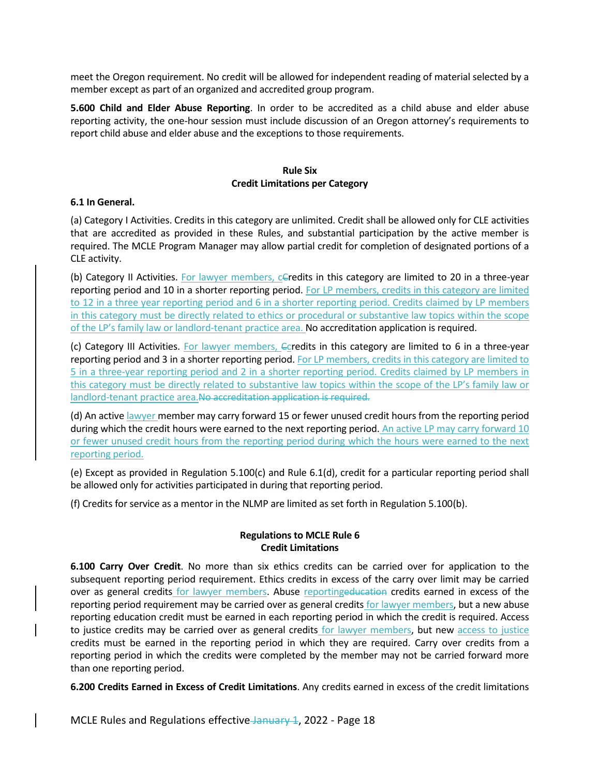meet the Oregon requirement. No credit will be allowed for independent reading of material selected by a member except as part of an organized and accredited group program.

**5.600 Child and Elder Abuse Reporting**. In order to be accredited as a child abuse and elder abuse reporting activity, the one-hour session must include discussion of an Oregon attorney's requirements to report child abuse and elder abuse and the exceptions to those requirements.

## **Rule Six Credit Limitations per Category**

#### **6.1 In General.**

(a) Category I Activities. Credits in this category are unlimited. Credit shall be allowed only for CLE activities that are accredited as provided in these Rules, and substantial participation by the active member is required. The MCLE Program Manager may allow partial credit for completion of designated portions of a CLE activity.

(b) Category II Activities. For lawyer members,  $c$ Gredits in this category are limited to 20 in a three-year reporting period and 10 in a shorter reporting period. For LP members, credits in this category are limited to 12 in a three year reporting period and 6 in a shorter reporting period. Credits claimed by LP members in this category must be directly related to ethics or procedural or substantive law topics within the scope of the LP's family law or landlord-tenant practice area. No accreditation application is required.

(c) Category III Activities. For lawyer members, Coredits in this category are limited to 6 in a three-year reporting period and 3 in a shorter reporting period. For LP members, credits in this category are limited to 5 in a three-year reporting period and 2 in a shorter reporting period. Credits claimed by LP members in this category must be directly related to substantive law topics within the scope of the LP's family law or landlord-tenant practice area.No accreditation application is required.

(d) An active lawyer member may carry forward 15 or fewer unused credit hours from the reporting period during which the credit hours were earned to the next reporting period. An active LP may carry forward 10 or fewer unused credit hours from the reporting period during which the hours were earned to the next reporting period.

(e) Except as provided in Regulation 5.100(c) and Rule 6.1(d), credit for a particular reporting period shall be allowed only for activities participated in during that reporting period.

(f) Credits for service as a mentor in the NLMP are limited as set forth in Regulation 5.100(b).

## **Regulations to MCLE Rule 6 Credit Limitations**

**6.100 Carry Over Credit**. No more than six ethics credits can be carried over for application to the subsequent reporting period requirement. Ethics credits in excess of the carry over limit may be carried over as general credits for lawyer members. Abuse reportingeducation credits earned in excess of the reporting period requirement may be carried over as general credits for lawyer members, but a new abuse reporting education credit must be earned in each reporting period in which the credit is required. Access to justice credits may be carried over as general credits for lawyer members, but new access to justice credits must be earned in the reporting period in which they are required. Carry over credits from a reporting period in which the credits were completed by the member may not be carried forward more than one reporting period.

**6.200 Credits Earned in Excess of Credit Limitations**. Any credits earned in excess of the credit limitations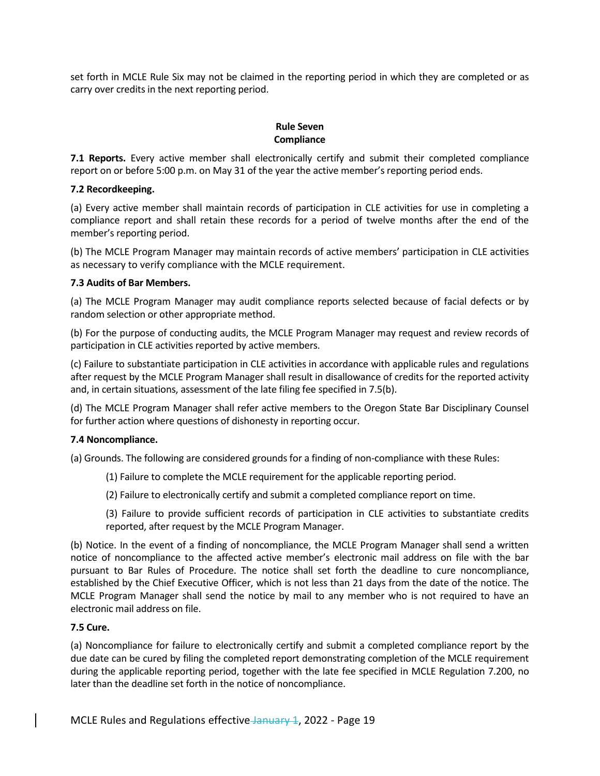set forth in MCLE Rule Six may not be claimed in the reporting period in which they are completed or as carry over credits in the next reporting period.

### **Rule Seven Compliance**

**7.1 Reports.** Every active member shall electronically certify and submit their completed compliance report on or before 5:00 p.m. on May 31 of the year the active member's reporting period ends.

## **7.2 Recordkeeping.**

(a) Every active member shall maintain records of participation in CLE activities for use in completing a compliance report and shall retain these records for a period of twelve months after the end of the member's reporting period.

(b) The MCLE Program Manager may maintain records of active members' participation in CLE activities as necessary to verify compliance with the MCLE requirement.

# **7.3 Audits of Bar Members.**

(a) The MCLE Program Manager may audit compliance reports selected because of facial defects or by random selection or other appropriate method.

(b) For the purpose of conducting audits, the MCLE Program Manager may request and review records of participation in CLE activities reported by active members.

(c) Failure to substantiate participation in CLE activities in accordance with applicable rules and regulations after request by the MCLE Program Manager shall result in disallowance of credits for the reported activity and, in certain situations, assessment of the late filing fee specified in 7.5(b).

(d) The MCLE Program Manager shall refer active members to the Oregon State Bar Disciplinary Counsel for further action where questions of dishonesty in reporting occur.

## **7.4 Noncompliance.**

(a) Grounds. The following are considered grounds for a finding of non-compliance with these Rules:

- (1) Failure to complete the MCLE requirement for the applicable reporting period.
- (2) Failure to electronically certify and submit a completed compliance report on time.

(3) Failure to provide sufficient records of participation in CLE activities to substantiate credits reported, after request by the MCLE Program Manager.

(b) Notice. In the event of a finding of noncompliance, the MCLE Program Manager shall send a written notice of noncompliance to the affected active member's electronic mail address on file with the bar pursuant to Bar Rules of Procedure. The notice shall set forth the deadline to cure noncompliance, established by the Chief Executive Officer, which is not less than 21 days from the date of the notice. The MCLE Program Manager shall send the notice by mail to any member who is not required to have an electronic mail address on file.

## **7.5 Cure.**

(a) Noncompliance for failure to electronically certify and submit a completed compliance report by the due date can be cured by filing the completed report demonstrating completion of the MCLE requirement during the applicable reporting period, together with the late fee specified in MCLE Regulation 7.200, no later than the deadline set forth in the notice of noncompliance.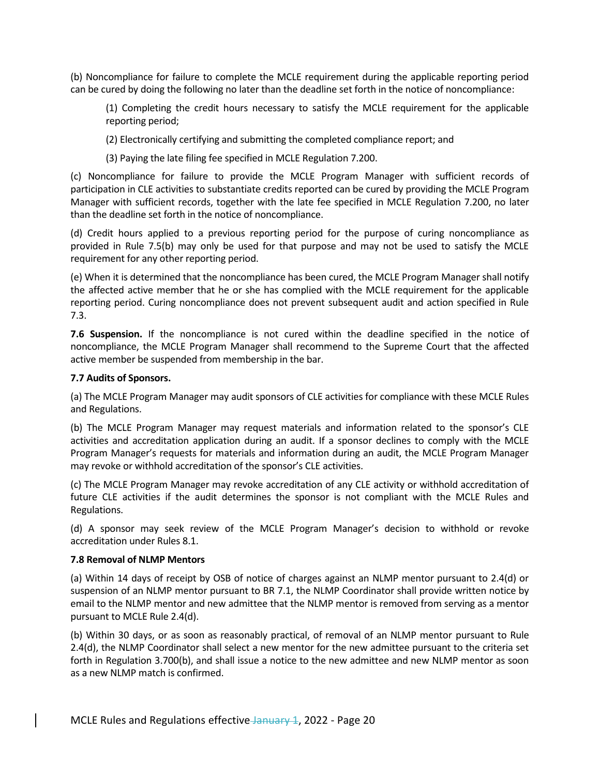(b) Noncompliance for failure to complete the MCLE requirement during the applicable reporting period can be cured by doing the following no later than the deadline set forth in the notice of noncompliance:

(1) Completing the credit hours necessary to satisfy the MCLE requirement for the applicable reporting period;

(2) Electronically certifying and submitting the completed compliance report; and

(3) Paying the late filing fee specified in MCLE Regulation 7.200.

(c) Noncompliance for failure to provide the MCLE Program Manager with sufficient records of participation in CLE activities to substantiate credits reported can be cured by providing the MCLE Program Manager with sufficient records, together with the late fee specified in MCLE Regulation 7.200, no later than the deadline set forth in the notice of noncompliance.

(d) Credit hours applied to a previous reporting period for the purpose of curing noncompliance as provided in Rule 7.5(b) may only be used for that purpose and may not be used to satisfy the MCLE requirement for any other reporting period.

(e) When it is determined that the noncompliance has been cured, the MCLE Program Manager shall notify the affected active member that he or she has complied with the MCLE requirement for the applicable reporting period. Curing noncompliance does not prevent subsequent audit and action specified in Rule 7.3.

**7.6 Suspension.** If the noncompliance is not cured within the deadline specified in the notice of noncompliance, the MCLE Program Manager shall recommend to the Supreme Court that the affected active member be suspended from membership in the bar.

## **7.7 Audits of Sponsors.**

(a) The MCLE Program Manager may audit sponsors of CLE activities for compliance with these MCLE Rules and Regulations.

(b) The MCLE Program Manager may request materials and information related to the sponsor's CLE activities and accreditation application during an audit. If a sponsor declines to comply with the MCLE Program Manager's requests for materials and information during an audit, the MCLE Program Manager may revoke or withhold accreditation of the sponsor's CLE activities.

(c) The MCLE Program Manager may revoke accreditation of any CLE activity or withhold accreditation of future CLE activities if the audit determines the sponsor is not compliant with the MCLE Rules and Regulations.

(d) A sponsor may seek review of the MCLE Program Manager's decision to withhold or revoke accreditation under Rules 8.1.

## **7.8 Removal of NLMP Mentors**

(a) Within 14 days of receipt by OSB of notice of charges against an NLMP mentor pursuant to 2.4(d) or suspension of an NLMP mentor pursuant to BR 7.1, the NLMP Coordinator shall provide written notice by email to the NLMP mentor and new admittee that the NLMP mentor is removed from serving as a mentor pursuant to MCLE Rule 2.4(d).

(b) Within 30 days, or as soon as reasonably practical, of removal of an NLMP mentor pursuant to Rule 2.4(d), the NLMP Coordinator shall select a new mentor for the new admittee pursuant to the criteria set forth in Regulation 3.700(b), and shall issue a notice to the new admittee and new NLMP mentor as soon as a new NLMP match is confirmed.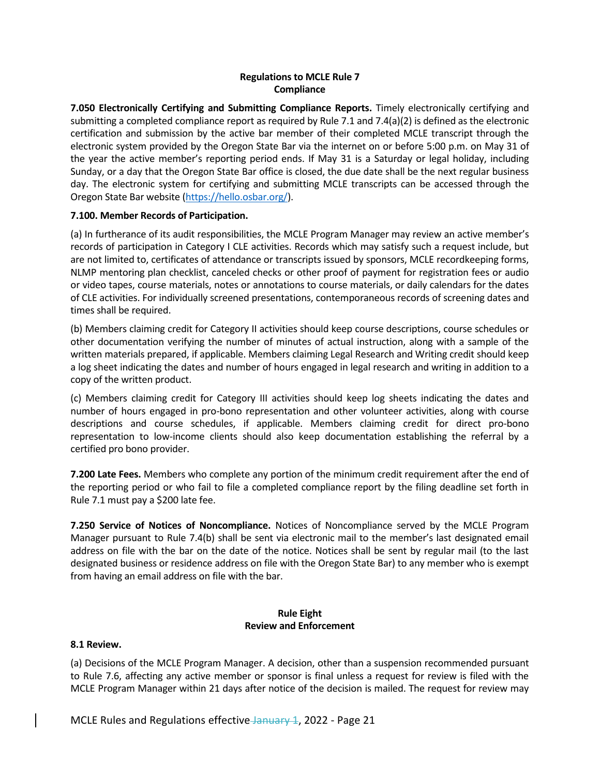## **Regulations to MCLE Rule 7 Compliance**

**7.050 Electronically Certifying and Submitting Compliance Reports.** Timely electronically certifying and submitting a completed compliance report as required by Rule 7.1 and 7.4(a)(2) is defined as the electronic certification and submission by the active bar member of their completed MCLE transcript through the electronic system provided by the Oregon State Bar via the internet on or before 5:00 p.m. on May 31 of the year the active member's reporting period ends. If May 31 is a Saturday or legal holiday, including Sunday, or a day that the Oregon State Bar office is closed, the due date shall be the next regular business day. The electronic system for certifying and submitting MCLE transcripts can be accessed through the Oregon State Bar website [\(https://hello.osbar.org/\)](https://hello.osbar.org/).

## **7.100. Member Records of Participation.**

(a) In furtherance of its audit responsibilities, the MCLE Program Manager may review an active member's records of participation in Category I CLE activities. Records which may satisfy such a request include, but are not limited to, certificates of attendance or transcripts issued by sponsors, MCLE recordkeeping forms, NLMP mentoring plan checklist, canceled checks or other proof of payment for registration fees or audio or video tapes, course materials, notes or annotations to course materials, or daily calendars for the dates of CLE activities. For individually screened presentations, contemporaneous records of screening dates and times shall be required.

(b) Members claiming credit for Category II activities should keep course descriptions, course schedules or other documentation verifying the number of minutes of actual instruction, along with a sample of the written materials prepared, if applicable. Members claiming Legal Research and Writing credit should keep a log sheet indicating the dates and number of hours engaged in legal research and writing in addition to a copy of the written product.

(c) Members claiming credit for Category III activities should keep log sheets indicating the dates and number of hours engaged in pro-bono representation and other volunteer activities, along with course descriptions and course schedules, if applicable. Members claiming credit for direct pro-bono representation to low-income clients should also keep documentation establishing the referral by a certified pro bono provider.

**7.200 Late Fees.** Members who complete any portion of the minimum credit requirement after the end of the reporting period or who fail to file a completed compliance report by the filing deadline set forth in Rule 7.1 must pay a \$200 late fee.

**7.250 Service of Notices of Noncompliance.** Notices of Noncompliance served by the MCLE Program Manager pursuant to Rule 7.4(b) shall be sent via electronic mail to the member's last designated email address on file with the bar on the date of the notice. Notices shall be sent by regular mail (to the last designated business or residence address on file with the Oregon State Bar) to any member who is exempt from having an email address on file with the bar.

## **Rule Eight Review and Enforcement**

## **8.1 Review.**

(a) Decisions of the MCLE Program Manager. A decision, other than a suspension recommended pursuant to Rule 7.6, affecting any active member or sponsor is final unless a request for review is filed with the MCLE Program Manager within 21 days after notice of the decision is mailed. The request for review may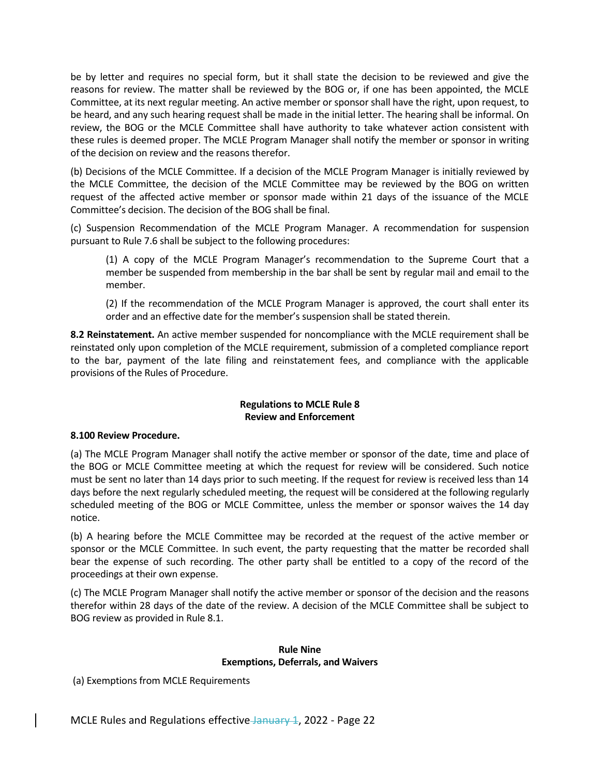be by letter and requires no special form, but it shall state the decision to be reviewed and give the reasons for review. The matter shall be reviewed by the BOG or, if one has been appointed, the MCLE Committee, at its next regular meeting. An active member or sponsor shall have the right, upon request, to be heard, and any such hearing request shall be made in the initial letter. The hearing shall be informal. On review, the BOG or the MCLE Committee shall have authority to take whatever action consistent with these rules is deemed proper. The MCLE Program Manager shall notify the member or sponsor in writing of the decision on review and the reasons therefor.

(b) Decisions of the MCLE Committee. If a decision of the MCLE Program Manager is initially reviewed by the MCLE Committee, the decision of the MCLE Committee may be reviewed by the BOG on written request of the affected active member or sponsor made within 21 days of the issuance of the MCLE Committee's decision. The decision of the BOG shall be final.

(c) Suspension Recommendation of the MCLE Program Manager. A recommendation for suspension pursuant to Rule 7.6 shall be subject to the following procedures:

(1) A copy of the MCLE Program Manager's recommendation to the Supreme Court that a member be suspended from membership in the bar shall be sent by regular mail and email to the member.

(2) If the recommendation of the MCLE Program Manager is approved, the court shall enter its order and an effective date for the member's suspension shall be stated therein.

**8.2 Reinstatement.** An active member suspended for noncompliance with the MCLE requirement shall be reinstated only upon completion of the MCLE requirement, submission of a completed compliance report to the bar, payment of the late filing and reinstatement fees, and compliance with the applicable provisions of the Rules of Procedure.

## **Regulations to MCLE Rule 8 Review and Enforcement**

## **8.100 Review Procedure.**

(a) The MCLE Program Manager shall notify the active member or sponsor of the date, time and place of the BOG or MCLE Committee meeting at which the request for review will be considered. Such notice must be sent no later than 14 days prior to such meeting. If the request for review is received less than 14 days before the next regularly scheduled meeting, the request will be considered at the following regularly scheduled meeting of the BOG or MCLE Committee, unless the member or sponsor waives the 14 day notice.

(b) A hearing before the MCLE Committee may be recorded at the request of the active member or sponsor or the MCLE Committee. In such event, the party requesting that the matter be recorded shall bear the expense of such recording. The other party shall be entitled to a copy of the record of the proceedings at their own expense.

(c) The MCLE Program Manager shall notify the active member or sponsor of the decision and the reasons therefor within 28 days of the date of the review. A decision of the MCLE Committee shall be subject to BOG review as provided in Rule 8.1.

#### **Rule Nine Exemptions, Deferrals, and Waivers**

(a) Exemptions from MCLE Requirements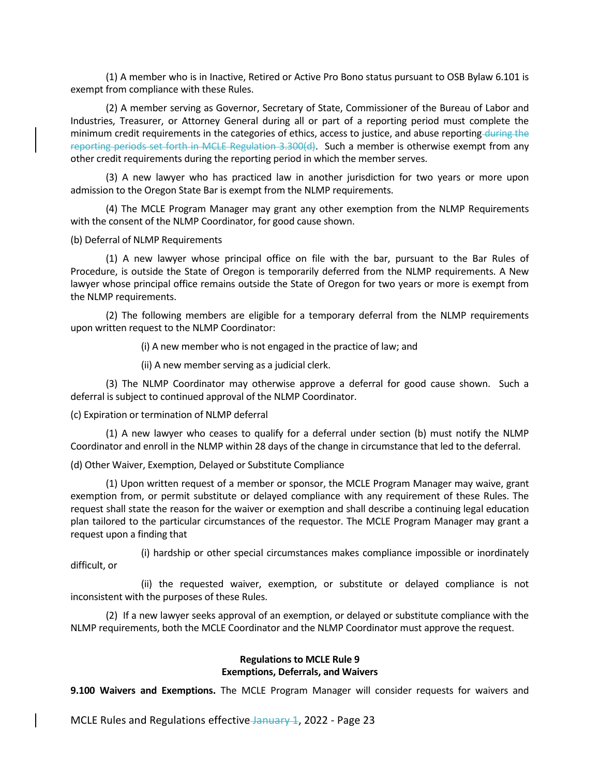(1) A member who is in Inactive, Retired or Active Pro Bono status pursuant to OSB Bylaw 6.101 is exempt from compliance with these Rules.

(2) A member serving as Governor, Secretary of State, Commissioner of the Bureau of Labor and Industries, Treasurer, or Attorney General during all or part of a reporting period must complete the minimum credit requirements in the categories of ethics, access to justice, and abuse reporting during the reporting periods set forth in MCLE Regulation 3.300(d). Such a member is otherwise exempt from any other credit requirements during the reporting period in which the member serves.

(3) A new lawyer who has practiced law in another jurisdiction for two years or more upon admission to the Oregon State Bar is exempt from the NLMP requirements.

(4) The MCLE Program Manager may grant any other exemption from the NLMP Requirements with the consent of the NLMP Coordinator, for good cause shown.

(b) Deferral of NLMP Requirements

(1) A new lawyer whose principal office on file with the bar, pursuant to the Bar Rules of Procedure, is outside the State of Oregon is temporarily deferred from the NLMP requirements. A New lawyer whose principal office remains outside the State of Oregon for two years or more is exempt from the NLMP requirements.

(2) The following members are eligible for a temporary deferral from the NLMP requirements upon written request to the NLMP Coordinator:

(i) A new member who is not engaged in the practice of law; and

(ii) A new member serving as a judicial clerk.

(3) The NLMP Coordinator may otherwise approve a deferral for good cause shown. Such a deferral is subject to continued approval of the NLMP Coordinator.

(c) Expiration or termination of NLMP deferral

(1) A new lawyer who ceases to qualify for a deferral under section (b) must notify the NLMP Coordinator and enroll in the NLMP within 28 days of the change in circumstance that led to the deferral.

(d) Other Waiver, Exemption, Delayed or Substitute Compliance

(1) Upon written request of a member or sponsor, the MCLE Program Manager may waive, grant exemption from, or permit substitute or delayed compliance with any requirement of these Rules. The request shall state the reason for the waiver or exemption and shall describe a continuing legal education plan tailored to the particular circumstances of the requestor. The MCLE Program Manager may grant a request upon a finding that

(i) hardship or other special circumstances makes compliance impossible or inordinately difficult, or

(ii) the requested waiver, exemption, or substitute or delayed compliance is not inconsistent with the purposes of these Rules.

(2) If a new lawyer seeks approval of an exemption, or delayed or substitute compliance with the NLMP requirements, both the MCLE Coordinator and the NLMP Coordinator must approve the request.

#### **Regulations to MCLE Rule 9 Exemptions, Deferrals, and Waivers**

**9.100 Waivers and Exemptions.** The MCLE Program Manager will consider requests for waivers and